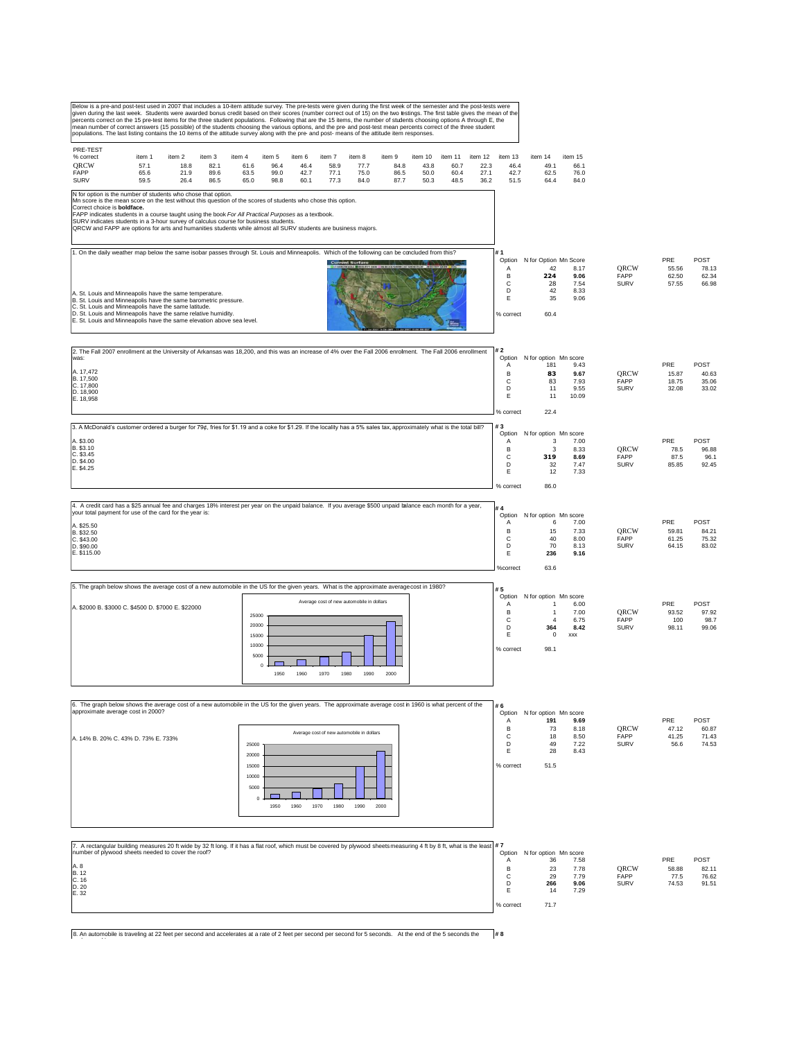| Below is a pre-and post-test used in 2007 that includes a 10-item attitude survey. The pre-tests were given during the first week of the semester and the post-tests were<br>given during the last week. Students were awarded bonus credit based on their scores (number correct out of 15) on the two testings. The first table gives the mean of the<br>percents correct on the 15 pre-test items for the three student populations. Following that are the 15 items, the number of students choosing options A through E, the<br>mean number of correct answers (15 possible) of the students choosing the various options, and the pre- and post-test mean percents correct of the three student<br>populations. The last listing contains the 10 items of the attitude survey along with the pre- and post- means of the attitude item responses. |                                                              |                                                                                  |                                       |                             |                                |                                 |
|---------------------------------------------------------------------------------------------------------------------------------------------------------------------------------------------------------------------------------------------------------------------------------------------------------------------------------------------------------------------------------------------------------------------------------------------------------------------------------------------------------------------------------------------------------------------------------------------------------------------------------------------------------------------------------------------------------------------------------------------------------------------------------------------------------------------------------------------------------|--------------------------------------------------------------|----------------------------------------------------------------------------------|---------------------------------------|-----------------------------|--------------------------------|---------------------------------|
| PRE-TEST<br>% correct<br>item 1<br>item 2<br>item 3<br>item 4<br>item 5<br>item 6<br>item 7<br>item 8<br>item 9<br>item 10<br>item 11<br>item 12<br>ORCW<br>57.1<br>18.8<br>82.1<br>61.6<br>96.4<br>46.4<br>58.9<br>77.7<br>84.8<br>43.8<br>60.7<br>22.3<br>FAPP<br>65.6<br>21.9<br>89.6<br>99.0<br>42.7<br>77.1<br>75.0<br>86.5<br>50.0<br>60.4<br>27.1<br>63.5<br><b>SURV</b><br>50.3<br>59.5<br>26.4<br>86.5<br>65.0<br>98.8<br>60.1<br>77.3<br>84.0<br>87.7<br>48.5<br>36.2                                                                                                                                                                                                                                                                                                                                                                         | item 13<br>46.4<br>42.7<br>51.5                              | item 14<br>49.1<br>62.5<br>64.4                                                  | item 15<br>66.1<br>76.0<br>84.0       |                             |                                |                                 |
| N for option is the number of students who chose that option.<br>Mn score is the mean score on the test without this question of the scores of students who chose this option.<br>Correct choice is <b>boldface.</b><br>FAPP indicates students in a course taught using the book For All Practical Purposes as a textbook.<br>SURV indicates students in a 3-hour survey of calculus course for business students.<br>QRCW and FAPP are options for arts and humanities students while almost all SURV students are business majors.                                                                                                                                                                                                                                                                                                                   |                                                              |                                                                                  |                                       |                             |                                |                                 |
| 1. On the daily weather map below the same isobar passes through St. Louis and Minneapolis. Which of the following can be concluded from this?<br><b>Current Surf</b><br>A. St. Louis and Minneapolis have the same temperature.<br>B. St. Louis and Minneapolis have the same barometric pressure.<br>C. St. Louis and Minneapolis have the same latitude.<br>D. St. Louis and Minneapolis have the same relative humidity.<br>E. St. Louis and Minneapolis have the same elevation above sea level.                                                                                                                                                                                                                                                                                                                                                   | l# 1<br>Option<br>Α<br>B<br>C<br>D<br>Ε<br>% correct         | N for Option Mn Score<br>42<br>224<br>28<br>42<br>35<br>60.4                     | 8.17<br>9.06<br>7.54<br>8.33<br>9.06  | QRCW<br>FAPP<br><b>SURV</b> | PRE<br>55.56<br>62.50<br>57.55 | POST<br>78.13<br>62.34<br>66.98 |
| 2. The Fall 2007 enrollment at the University of Arkansas was 18,200, and this was an increase of 4% over the Fall 2006 enrolment. The Fall 2006 enrollment<br>was:<br>A. 17,472<br>B. 17,500<br>C. 17,800<br>D. 18.900<br>E. 18,958                                                                                                                                                                                                                                                                                                                                                                                                                                                                                                                                                                                                                    | #2<br>Α<br>B<br>C<br>D<br>Е<br>% correct                     | Option N for option Mn score<br>181<br>83<br>83<br>11<br>11<br>22.4              | 9.43<br>9.67<br>7.93<br>9.55<br>10.09 | QRCW<br>FAPP<br><b>SURV</b> | PRE<br>15.87<br>18.75<br>32.08 | POST<br>40.63<br>35.06<br>33.02 |
| 3. A McDonald's customer ordered a burger for 79¢, fries for \$1.19 and a coke for \$1.29. If the locality has a 5% sales tax, approximately what is the total bill?<br>A. \$3.00<br>B. \$3.10<br>C. \$3.45<br>D. \$4.00<br>E. \$4.25                                                                                                                                                                                                                                                                                                                                                                                                                                                                                                                                                                                                                   | #3<br>Option<br>Α<br>B<br>C<br>D<br>Ε<br>% correct           | N for option Mn score<br>3<br>3<br>319<br>32<br>12<br>86.0                       | 7.00<br>8.33<br>8.69<br>7.47<br>7.33  | ORCW<br>FAPP<br><b>SURV</b> | PRE<br>78.5<br>87.5<br>85.85   | POST<br>96.88<br>96.1<br>92.45  |
| 4. A credit card has a \$25 annual fee and charges 18% interest per year on the unpaid balance. If you average \$500 unpaid balance each month for a year,<br>your total payment for use of the card for the year is:<br>A. \$25.50<br>B. \$32.50<br>C. \$43.00<br>D. \$90.00<br>E. \$115.00                                                                                                                                                                                                                                                                                                                                                                                                                                                                                                                                                            | #4<br>Option<br>$\mathsf{A}$<br>B<br>C<br>D<br>Ε<br>%correct | N for option Mn score<br>6<br>15<br>40<br>70<br>236<br>63.6                      | 7.00<br>7.33<br>8.00<br>8.13<br>9.16  | QRCW<br>FAPP<br><b>SURV</b> | PRE<br>59.81<br>61.25<br>64.15 | POST<br>84.21<br>75.32<br>83.02 |
| 5. The graph below shows the average cost of a new automobile in the US for the given years. What is the approximate averagecost in 1980?<br>Average cost of new automobile in dollars<br>A. \$2000 B. \$3000 C. \$4500 D. \$7000 E. \$22000<br>25000<br>20000<br>15000<br>10000<br>5000<br>$\overline{0}$<br>1950<br>1960<br>1970<br>1990<br>1980<br>2000                                                                                                                                                                                                                                                                                                                                                                                                                                                                                              | #5<br>Option<br>Α<br>B<br>C<br>D<br>Ε<br>% correct           | N for option Mn score<br>1<br>$\mathbf{1}$<br>$\overline{4}$<br>364<br>0<br>98.1 | 6.00<br>7.00<br>6.75<br>8.42<br>XXX   | ORCW<br>FAPP<br><b>SURV</b> | PRE<br>93.52<br>100<br>98.11   | POST<br>97.92<br>98.7<br>99.06  |
| 6. The graph below shows the average cost of a new automobile in the US for the given years. The approximate average cost in 1960 is what percent of the<br>approximate average cost in 2000?<br>Average cost of new automobile in dollars<br>A. 14% B. 20% C. 43% D. 73% E. 733%<br>25000<br>20000<br>15000<br>10000<br>5000<br>$\Omega$<br>1970<br>1950<br>1960<br>1980<br>1990<br>2000                                                                                                                                                                                                                                                                                                                                                                                                                                                               | #6<br>Α<br>B<br>C<br>D<br>Ε<br>% correct                     | Option N for option Mn score<br>191<br>73<br>18<br>49<br>28<br>51.5              | 9.69<br>8.18<br>8.50<br>7.22<br>8.43  | ORCW<br>FAPP<br><b>SURV</b> | PRE<br>47.12<br>41.25<br>56.6  | POST<br>60.87<br>71.43<br>74.53 |
| 7. A rectangular building measures 20 ft wide by 32 ft long. If it has a flat roof, which must be covered by plywood sheets measuring 4 ft by 8 ft, what is the least #7<br>number of plywood sheets needed to cover the roof?<br>A. 8<br>$B. 12$<br>C. 16<br>D. 20<br>E. 32                                                                                                                                                                                                                                                                                                                                                                                                                                                                                                                                                                            | Α<br>B<br>c<br>D<br>Е                                        | Option N for option Mn score<br>36<br>23<br>29<br>266<br>14                      | 7.58<br>7.78<br>7.79<br>9.06<br>7.29  | ORCW<br>FAPP<br><b>SURV</b> | PRE<br>58.88<br>77.5<br>74.53  | POST<br>82.11<br>76.62<br>91.51 |

% correct 71.7

8. An automobile is traveling at 22 feet per second and accelerates at a rate of 2 feet per second per second for 5 seconds. At the end of the 5 seconds the  $\sharp 8$